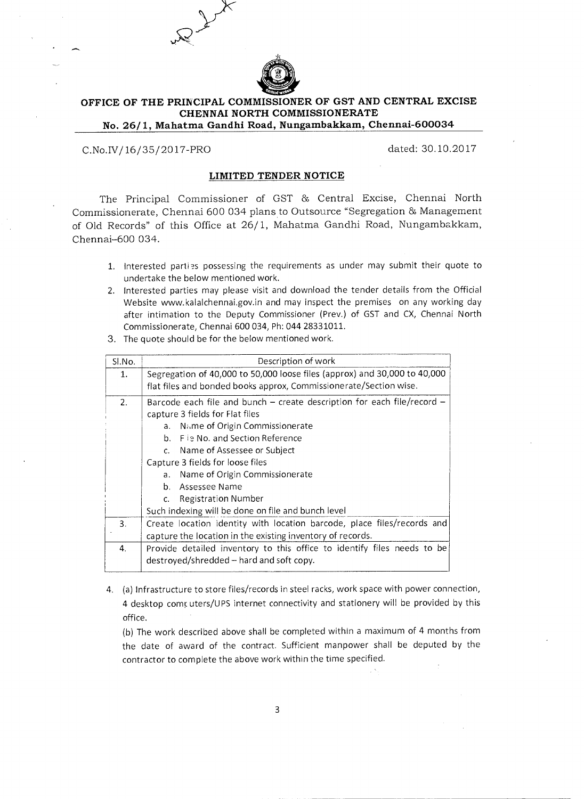

## **OFFICE OF THE PRINCIPAL COMMISSIONER OF GST AND CENTRAL EXCISE CHENNAI NORTH COMMISSIONERATE No. 26/1, Mahatma Gandhi Road, Nungambakkam, Chennai-600034**

C.No.IV/ 16/35/2017-PRO dated: 30.10.2017

## **LIMITED TENDER NOTICE**

The Principal Commissioner of GST 86 Central Excise, Chennai North Commissionerate, Chennai 600 034 plans to Outsource "Segregation 86 Management of Old Records" of this Office at 26/1, Mahatma Gandhi Road, Nungambakkam, Chennai-600 034.

- 1. Interested parties possessing the requirements as under may submit their quote to undertake the below mentioned work.
- 2. Interested parties may please visit and download the tender details from the Official Website www.kalalchennai.gov.in and may inspect the premises on any working day after intimation to the Deputy Commissioner (Prey.) of GST and CX, Chennai North Commissionerate, Chennai 600 034, Ph: 044 28331011.
- 3. The quote should be for the below mentioned work.

| SI.No. | Description of work                                                       |
|--------|---------------------------------------------------------------------------|
| 1.     | Segregation of 40,000 to 50,000 loose files (approx) and 30,000 to 40,000 |
|        | flat files and bonded books approx, Commissionerate/Section wise.         |
| 2.     | Barcode each file and bunch – create description for each file/record –   |
|        | capture 3 fields for Flat files                                           |
|        | <b>Name of Origin Commissionerate</b><br>a.                               |
|        | b. Fie No. and Section Reference                                          |
|        | c. Name of Assessee or Subject                                            |
|        | Capture 3 fields for loose files                                          |
|        | Name of Origin Commissionerate<br>a.                                      |
|        | b. Assessee Name                                                          |
|        | Registration Number<br>$C_{\star}$                                        |
|        | Such indexing will be done on file and bunch level                        |
| 3.     | Create location identity with location barcode, place files/records and   |
|        | capture the location in the existing inventory of records.                |
| 4.     | Provide detailed inventory to this office to identify files needs to be   |
|        | destroyed/shredded – hard and soft copy.                                  |
|        |                                                                           |

4. (a) Infrastructure to store files/records in steel racks, work space with power connection, 4 desktop comruters/UPS internet connectivity and stationery will be provided by this office.

(b) The work described above shall be completed within a maximum of 4 months from the date of award of the contract. Sufficient manpower shall be deputed by the contractor to complete the above work within the time specified.